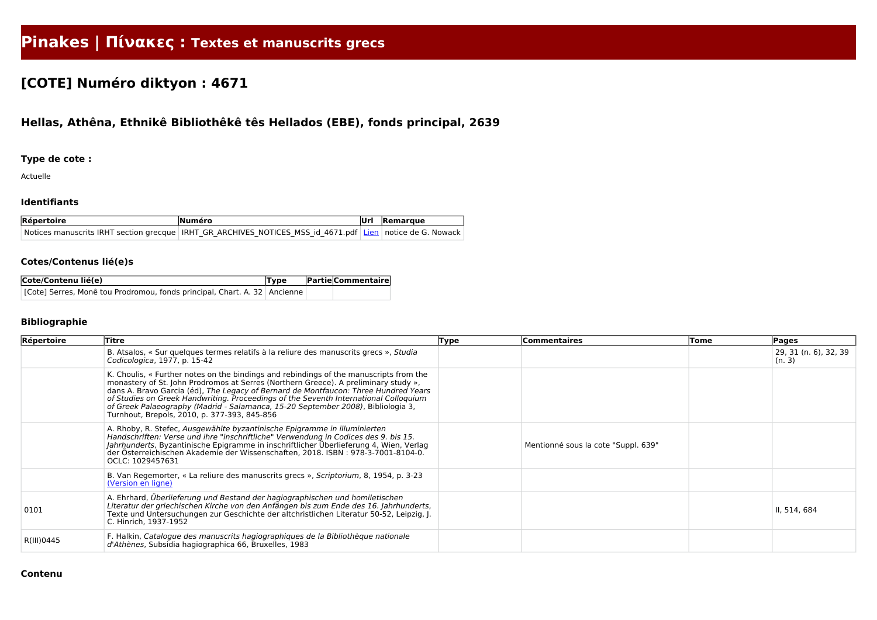# **Pinakes | Πίνακες : Textes et manuscrits grecs**

## **[COTE] Numéro diktyon : 4671**

## **Hellas, Athêna, Ethnikê Bibliothêkê tês Hellados (EBE), fonds principal, 2639**

#### **Type de cote :**

Actuelle

#### **Identifiants**

| Répertoire | <b>Numéro</b>                                                                                                   | <b>Remarque</b> |
|------------|-----------------------------------------------------------------------------------------------------------------|-----------------|
|            | Notices manuscrits IRHT section grecque   IRHT GR ARCHIVES NOTICES MSS id 4671.pdf   Lien   notice de G. Nowack |                 |

#### **Cotes/Contenus lié(e)s**

| Cote/Contenu lié(e)                                                         | Type | <b>Partie Commentaire</b> |
|-----------------------------------------------------------------------------|------|---------------------------|
| [Cote] Serres, Monê tou Prodromou, fonds principal, Chart. A. 32   Ancienne |      |                           |

### **Bibliographie**

| Répertoire | Titre                                                                                                                                                                                                                                                                                                                                                                                                                                                                                            | Type | Commentaires                        | Tome | Pages                           |
|------------|--------------------------------------------------------------------------------------------------------------------------------------------------------------------------------------------------------------------------------------------------------------------------------------------------------------------------------------------------------------------------------------------------------------------------------------------------------------------------------------------------|------|-------------------------------------|------|---------------------------------|
|            | B. Atsalos, « Sur quelques termes relatifs à la reliure des manuscrits grecs », Studia<br>Codicologica, 1977, p. 15-42                                                                                                                                                                                                                                                                                                                                                                           |      |                                     |      | 29, 31 (n. 6), 32, 39<br>(n. 3) |
|            | K. Choulis, « Further notes on the bindings and rebindings of the manuscripts from the<br>monastery of St. John Prodromos at Serres (Northern Greece). A preliminary study »,<br>dans A. Bravo Garcia (éd), The Legacy of Bernard de Montfaucon: Three Hundred Years<br>of Studies on Greek Handwriting. Proceedings of the Seventh International Colloquium<br>of Greek Palaeography (Madrid - Salamanca, 15-20 September 2008), Bibliologia 3,<br>Turnhout, Brepols, 2010, p. 377-393, 845-856 |      |                                     |      |                                 |
|            | A. Rhoby, R. Stefec, Ausgewählte byzantinische Epigramme in illuminierten<br>Handschriften: Verse und ihre "inschriftliche" Verwendung in Codices des 9. bis 15.<br>Jahrhunderts, Byzantinische Epigramme in inschriftlicher Überlieferung 4, Wien, Verlag<br>der Österreichischen Akademie der Wissenschaften, 2018. ISBN : 978-3-7001-8104-0.<br>OCLC: 1029457631                                                                                                                              |      | Mentionné sous la cote "Suppl. 639" |      |                                 |
|            | B. Van Regemorter, « La reliure des manuscrits grecs », Scriptorium, 8, 1954, p. 3-23<br>(Version en ligne)                                                                                                                                                                                                                                                                                                                                                                                      |      |                                     |      |                                 |
| 0101       | A. Ehrhard, Überlieferung und Bestand der hagiographischen und homiletischen<br>Literatur der griechischen Kirche von den Anfängen bis zum Ende des 16. Jahrhunderts,<br>Texte und Untersuchungen zur Geschichte der altchristlichen Literatur 50-52, Leipzig, J.<br>C. Hinrich, 1937-1952                                                                                                                                                                                                       |      |                                     |      | II, 514, 684                    |
| R(III)0445 | F. Halkin, Catalogue des manuscrits hagiographiques de la Bibliothèque nationale<br>d'Athènes, Subsidia hagiographica 66, Bruxelles, 1983                                                                                                                                                                                                                                                                                                                                                        |      |                                     |      |                                 |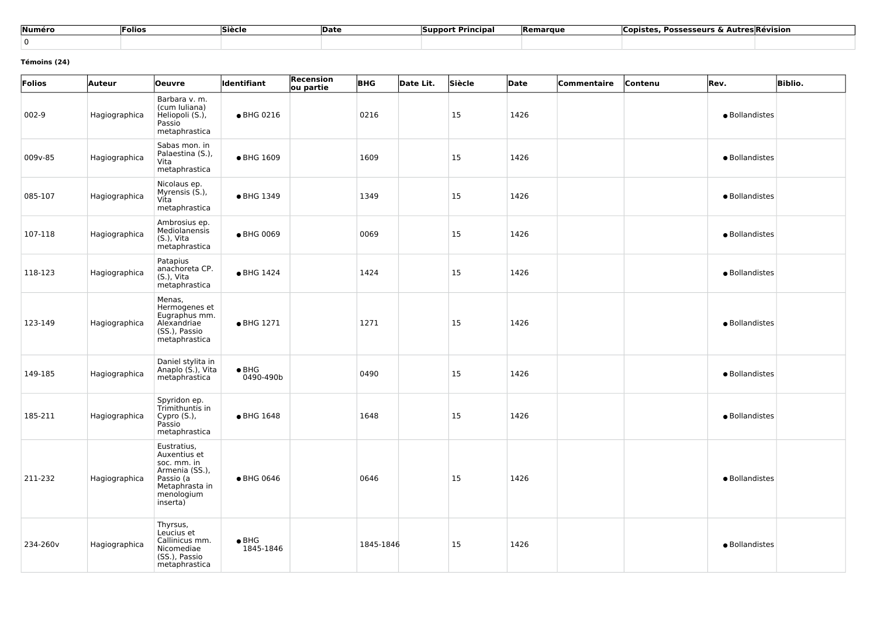| Numéro | <b>-olios</b> | <b>Siècle</b> | <b>Date</b> | <b>Principal</b><br><b>Support</b> | <b>Remarque</b> | Copistes, Possesseurs & Autres Révision |  |
|--------|---------------|---------------|-------------|------------------------------------|-----------------|-----------------------------------------|--|
|        |               |               |             |                                    |                 |                                         |  |

#### **Témoins (24)**

| Folios   | <b>Auteur</b> | <b>Oeuvre</b>                                                                                                         | <b>Identifiant</b>         | Recension<br><b>BHG</b><br>ou partie | Date Lit. | Siècle        | Date | Commentaire | Contenu | Rev.           | <b>Biblio.</b> |
|----------|---------------|-----------------------------------------------------------------------------------------------------------------------|----------------------------|--------------------------------------|-----------|---------------|------|-------------|---------|----------------|----------------|
| $002-9$  | Hagiographica | Barbara v. m.<br>(cum Iuliana)<br>Heliopoli (S.),<br>Passio<br>metaphrastica                                          | • BHG 0216                 | 0216                                 |           | 15            | 1426 |             |         | · Bollandistes |                |
| 009v-85  | Hagiographica | Sabas mon. in<br>Palaestina (S.),<br>Vita<br>metaphrastica                                                            | ● BHG 1609                 | 1609                                 |           | 15            | 1426 |             |         | · Bollandistes |                |
| 085-107  | Hagiographica | Nicolaus ep.<br>Myrensis (S.),<br>Vita<br>metaphrastica                                                               | • BHG 1349                 | 1349                                 |           | <sup>15</sup> | 1426 |             |         | · Bollandistes |                |
| 107-118  | Hagiographica | Ambrosius ep.<br>Mediolanensis<br>(S.), Vita<br>metaphrastica                                                         | ● BHG 0069                 | 0069                                 |           | 15            | 1426 |             |         | · Bollandistes |                |
| 118-123  | Hagiographica | Patapius<br>anachoreta CP.<br>(S.), Vita<br>metaphrastica                                                             | • BHG 1424                 | 1424                                 |           | <b>15</b>     | 1426 |             |         | · Bollandistes |                |
| 123-149  | Hagiographica | Menas,<br>Hermogenes et<br>Eugraphus mm.<br>Alexandriae<br>(SS.), Passio<br>metaphrastica                             | • BHG 1271                 | 1271                                 |           | <sup>15</sup> | 1426 |             |         | · Bollandistes |                |
| 149-185  | Hagiographica | Daniel stylita in<br>Anaplo (S.), Vita<br>metaphrastica                                                               | $\bullet$ BHG<br>0490-490b | 0490                                 |           | 15            | 1426 |             |         | · Bollandistes |                |
| 185-211  | Hagiographica | Spyridon ep.<br>Trimithuntis in<br>Cypro (S.),<br>Passio<br>metaphrastica                                             | ● BHG 1648                 | 1648                                 |           | 15            | 1426 |             |         | · Bollandistes |                |
| 211-232  | Hagiographica | Eustratius,<br>Auxentius et<br>soc. mm. in<br>Armenia (SS.),<br>Passio (a<br>Metaphrasta in<br>menologium<br>inserta) | ● BHG 0646                 | 0646                                 |           | <sup>15</sup> | 1426 |             |         | · Bollandistes |                |
| 234-260v | Hagiographica | Thyrsus,<br>Leucius et<br>Callinicus mm.<br>Nicomediae<br>(SS.), Passio<br>metaphrastica                              | $\bullet$ BHG<br>1845-1846 | 1845-1846                            |           | <sup>15</sup> | 1426 |             |         | · Bollandistes |                |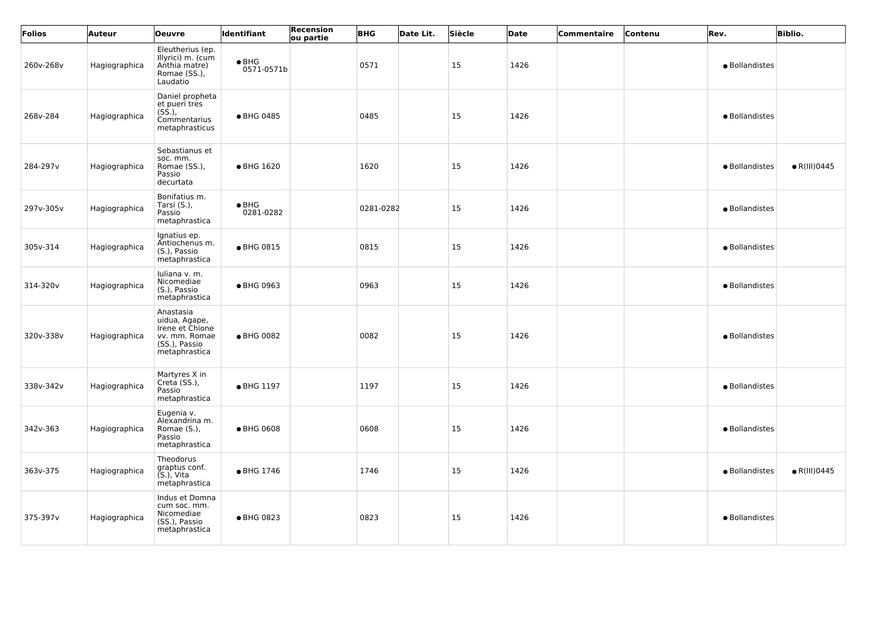| Folios    | Auteur        | <b>Oeuvre</b>                                                                                    | <b>Identifiant</b>          | <b>Recension</b><br>ou partie | <b>BHG</b> | Date Lit. | Siècle        | Date | Commentaire | Contenu | Rev.           | <b>Biblio.</b>       |
|-----------|---------------|--------------------------------------------------------------------------------------------------|-----------------------------|-------------------------------|------------|-----------|---------------|------|-------------|---------|----------------|----------------------|
| 260v-268v | Hagiographica | Eleutherius (ep.<br>Illyrici) m. (cum<br>Anthia matre)<br>Romae (SS.),<br>Laudatio               | $\bullet$ BHG<br>0571-0571b |                               | 0571       |           | 15            | 1426 |             |         | · Bollandistes |                      |
| 268v-284  | Hagiographica | Daniel propheta<br>et pueri tres<br>$(S\dot{S}.),$<br>Commentarius<br>metaphrasticus             | ● BHG 0485                  |                               | 0485       |           | 15            | 1426 |             |         | · Bollandistes |                      |
| 284-297v  | Hagiographica | Sebastianus et<br>soc. mm.<br>Romae (SS.),<br>Passio<br>decurtata                                | ● BHG 1620                  |                               | 1620       |           | 15            | 1426 |             |         | · Bollandistes | $\bullet$ R(III)0445 |
| 297v-305v | Hagiographica | Bonifatius m.<br>Tarsi (S.),<br>Passio<br>metaphrastica                                          | $\bullet$ BHG<br>0281-0282  |                               | 0281-0282  |           | 15            | 1426 |             |         | · Bollandistes |                      |
| 305v-314  | Hagiographica | Ignatius ep.<br>Antiochenus m.<br>(S.), Passio<br>metaphrastica                                  | • BHG 0815                  |                               | 0815       |           | 15            | 1426 |             |         | · Bollandistes |                      |
| 314-320v  | Hagiographica | Iuliana v. m.<br>Nicomediae<br>(S.), Passio<br>metaphrastica                                     | • BHG 0963                  |                               | 0963       |           | 15            | 1426 |             |         | · Bollandistes |                      |
| 320v-338v | Hagiographica | Anastasia<br>uidua, Agape,<br>Irene et Chione<br>vv. mm. Romae<br>(SS.), Passio<br>metaphrastica | ● BHG 0082                  |                               | 0082       |           | 15            | 1426 |             |         | · Bollandistes |                      |
| 338v-342v | Hagiographica | Martyres X in<br>Creta (SS.),<br>Passio<br>metaphrastica                                         | • BHG 1197                  |                               | 1197       |           | <b>15</b>     | 1426 |             |         | · Bollandistes |                      |
| 342v-363  | Hagiographica | Eugenia v.<br>Alexandrina m.<br>Romae (S.),<br>Passio<br>metaphrastica                           | ● BHG 0608                  |                               | 0608       |           | <sup>15</sup> | 1426 |             |         | · Bollandistes |                      |
| 363v-375  | Hagiographica | Theodorus<br>graptus conf.<br>$(S1)$ , Vita<br>metaphrastica                                     | • BHG 1746                  |                               | 1746       |           | 15            | 1426 |             |         | · Bollandistes | $\bullet$ R(III)0445 |
| 375-397v  | Hagiographica | Indus et Domna<br>cum soc. mm.<br>Nicomediae<br>(SS.), Passio<br>metaphrastica                   | ● BHG 0823                  |                               | 0823       |           | <sup>15</sup> | 1426 |             |         | · Bollandistes |                      |